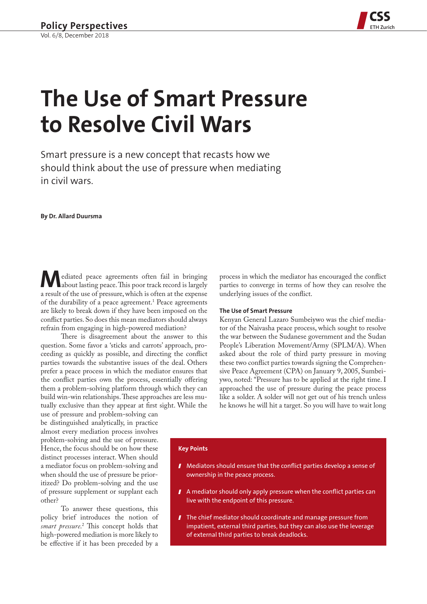

# **The Use of Smart Pressure to Resolve Civil Wars**

Smart pressure is a new concept that recasts how we should think about the use of pressure when mediating in civil wars.

**By Dr. Allard Duursma** 

Mediated peace agreements often fail in bringing<br>about lasting peace. This poor track record is largely a result of the use of pressure, which is often at the expense of the durability of a peace agreement.<sup>1</sup> Peace agreements are likely to break down if they have been imposed on the conflict parties. So does this mean mediators should always refrain from engaging in high-powered mediation?

There is disagreement about the answer to this question. Some favor a 'sticks and carrots' approach, proceeding as quickly as possible, and directing the conflict parties towards the substantive issues of the deal. Others prefer a peace process in which the mediator ensures that the conflict parties own the process, essentially offering them a problem-solving platform through which they can build win-win relationships. These approaches are less mutually exclusive than they appear at first sight. While the

use of pressure and problem-solving can be distinguished analytically, in practice almost every mediation process involves problem-solving and the use of pressure. Hence, the focus should be on how these distinct processes interact. When should a mediator focus on problem-solving and when should the use of pressure be prioritized? Do problem-solving and the use of pressure supplement or supplant each other?

To answer these questions, this policy brief introduces the notion of *smart pressure*. 2 This concept holds that high-powered mediation is more likely to be effective if it has been preceded by a

process in which the mediator has encouraged the conflict parties to converge in terms of how they can resolve the underlying issues of the conflict.

# **The Use of Smart Pressure**

Kenyan General Lazaro Sumbeiywo was the chief mediator of the Naivasha peace process, which sought to resolve the war between the Sudanese government and the Sudan People's Liberation Movement/Army (SPLM/A). When asked about the role of third party pressure in moving these two conflict parties towards signing the Comprehensive Peace Agreement (CPA) on January 9, 2005, Sumbeiywo, noted: "Pressure has to be applied at the right time. I approached the use of pressure during the peace process like a solder. A solder will not get out of his trench unless he knows he will hit a target. So you will have to wait long

## **Key Points**

- Mediators should ensure that the conflict parties develop a sense of ownership in the peace process.
- A mediator should only apply pressure when the conflict parties can live with the endpoint of this pressure.
- **T** The chief mediator should coordinate and manage pressure from impatient, external third parties, but they can also use the leverage of external third parties to break deadlocks.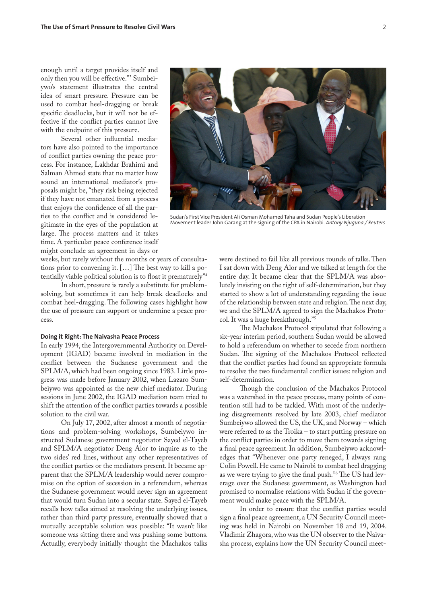enough until a target provides itself and only then you will be effective."3 Sumbeiywo's statement illustrates the central idea of smart pressure. Pressure can be used to combat heel-dragging or break specific deadlocks, but it will not be effective if the conflict parties cannot live with the endpoint of this pressure.

Several other influential mediators have also pointed to the importance of conflict parties owning the peace process. For instance, Lakhdar Brahimi and Salman Ahmed state that no matter how sound an international mediator's proposals might be, "they risk being rejected if they have not emanated from a process that enjoys the confidence of all the parties to the conflict and is considered legitimate in the eyes of the population at large. The process matters and it takes time. A particular peace conference itself might conclude an agreement in days or



Sudan's First Vice President Ali Osman Mohamed Taha and Sudan People's Liberation Movement leader John Garang at the signing of the CPA in Nairobi. *Antony Njuguna / Reuters*

weeks, but rarely without the months or years of consultations prior to convening it. […] The best way to kill a potentially viable political solution is to float it prematurely"4

In short, pressure is rarely a substitute for problemsolving, but sometimes it can help break deadlocks and combat heel-dragging. The following cases highlight how the use of pressure can support or undermine a peace process.

#### **Doing it Right: The Naivasha Peace Process**

In early 1994, the Intergovernmental Authority on Development (IGAD) became involved in mediation in the conflict between the Sudanese government and the SPLM/A, which had been ongoing since 1983. Little progress was made before January 2002, when Lazaro Sumbeiywo was appointed as the new chief mediator. During sessions in June 2002, the IGAD mediation team tried to shift the attention of the conflict parties towards a possible solution to the civil war.

On July 17, 2002, after almost a month of negotiations and problem-solving workshops, Sumbeiywo instructed Sudanese government negotiator Sayed el-Tayeb and SPLM/A negotiator Deng Alor to inquire as to the two sides' red lines, without any other representatives of the conflict parties or the mediators present. It became apparent that the SPLM/A leadership would never compromise on the option of secession in a referendum, whereas the Sudanese government would never sign an agreement that would turn Sudan into a secular state. Sayed el-Tayeb recalls how talks aimed at resolving the underlying issues, rather than third party pressure, eventually showed that a mutually acceptable solution was possible: "It wasn't like someone was sitting there and was pushing some buttons. Actually, everybody initially thought the Machakos talks

were destined to fail like all previous rounds of talks. Then I sat down with Deng Alor and we talked at length for the entire day. It became clear that the SPLM/A was absolutely insisting on the right of self-determination, but they started to show a lot of understanding regarding the issue of the relationship between state and religion. The next day, we and the SPLM/A agreed to sign the Machakos Protocol. It was a huge breakthrough."5

The Machakos Protocol stipulated that following a six-year interim period, southern Sudan would be allowed to hold a referendum on whether to secede from northern Sudan. The signing of the Machakos Protocol reflected that the conflict parties had found an appropriate formula to resolve the two fundamental conflict issues: religion and self-determination.

Though the conclusion of the Machakos Protocol was a watershed in the peace process, many points of contention still had to be tackled. With most of the underlying disagreements resolved by late 2003, chief mediator Sumbeiywo allowed the US, the UK, and Norway – which were referred to as the Troika – to start putting pressure on the conflict parties in order to move them towards signing a final peace agreement. In addition, Sumbeiywo acknowledges that "Whenever one party reneged, I always rang Colin Powell. He came to Nairobi to combat heel dragging as we were trying to give the final push."6 The US had leverage over the Sudanese government, as Washington had promised to normalise relations with Sudan if the government would make peace with the SPLM/A.

In order to ensure that the conflict parties would sign a final peace agreement, a UN Security Council meeting was held in Nairobi on November 18 and 19, 2004. Vladimir Zhagora, who was the UN observer to the Naivasha process, explains how the UN Security Council meet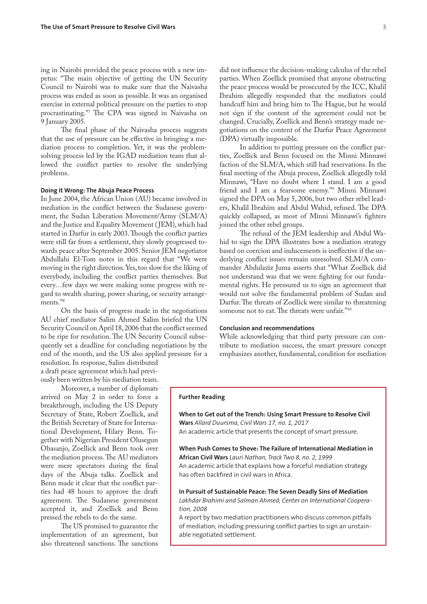ing in Nairobi provided the peace process with a new impetus: "The main objective of getting the UN Security Council to Nairobi was to make sure that the Naivasha process was ended as soon as possible. It was an organised exercise in external political pressure on the parties to stop procrastinating."7 The CPA was signed in Naivasha on 9 January 2005.

The final phase of the Naivasha process suggests that the use of pressure can be effective in bringing a mediation process to completion. Yet, it was the problemsolving process led by the IGAD mediation team that allowed the conflict parties to resolve the underlying problems.

#### **Doing it Wrong: The Abuja Peace Process**

In June 2004, the African Union (AU) became involved in mediation in the conflict between the Sudanese government, the Sudan Liberation Movement/Army (SLM/A) and the Justice and Equality Movement ( JEM), which had started in Darfur in early 2003. Though the conflict parties were still far from a settlement, they slowly progressed towards peace after September 2005. Senior JEM negotiator Abdullahi El-Tom notes in this regard that "We were moving in the right direction. Yes, too slow for the liking of everybody, including the conflict parties themselves. But every…few days we were making some progress with regard to wealth sharing, power sharing, or security arrangements."8

On the basis of progress made in the negotiations AU chief mediator Salim Ahmed Salim briefed the UN Security Council on April 18, 2006 that the conflict seemed to be ripe for resolution. The UN Security Council subsequently set a deadline for concluding negotiations by the end of the month, and the US also applied pressure for a resolution. In response, Salim distributed

a draft peace agreement which had previously been written by his mediation team.

Moreover, a number of diplomats arrived on May 2 in order to force a breakthrough, including the US Deputy Secretary of State, Robert Zoellick, and the British Secretary of State for International Development, Hilary Benn. Together with Nigerian President Olusegun Obasanjo, Zoellick and Benn took over the mediation process. The AU mediators were mere spectators during the final days of the Abuja talks. Zoellick and Benn made it clear that the conflict parties had 48 hours to approve the draft agreement. The Sudanese government accepted it, and Zoellick and Benn pressed the rebels to do the same.

The US promised to guarantee the implementation of an agreement, but also threatened sanctions. The sanctions

did not influence the decision-making calculus of the rebel parties. When Zoellick promised that anyone obstructing the peace process would be prosecuted by the ICC, Khalil Ibrahim allegedly responded that the mediators could handcuff him and bring him to The Hague, but he would not sign if the content of the agreement could not be changed. Crucially, Zoellick and Benn's strategy made negotiations on the content of the Darfur Peace Agreement (DPA) virtually impossible.

In addition to putting pressure on the conflict parties, Zoellick and Benn focused on the Minni Minnawi faction of the SLM/A, which still had reservations. In the final meeting of the Abuja process, Zoellick allegedly told Minnawi, "Have no doubt where I stand. I am a good friend and I am a fearsome enemy."9 Minni Minnawi signed the DPA on May 5, 2006, but two other rebel leaders, Khalil Ibrahim and Abdul Wahid, refused. The DPA quickly collapsed, as most of Minni Minnawi's fighters joined the other rebel groups.

The refusal of the JEM leadership and Abdul Wahid to sign the DPA illustrates how a mediation strategy based on coercion and inducements is ineffective if the underlying conflict issues remain unresolved. SLM/A commander Abdulaziz Juma asserts that "What Zoellick did not understand was that we were fighting for our fundamental rights. He pressured us to sign an agreement that would not solve the fundamental problem of Sudan and Darfur. The threats of Zoellick were similar to threatening someone not to eat. The threats were unfair."10

# **Conclusion and recommendations**

While acknowledging that third party pressure can contribute to mediation success, the smart pressure concept emphasizes another, fundamental, condition for mediation

## **Further Reading**

**When to Get out of the Trench: Using Smart Pressure to Resolve Civil Wars** *Allard Duursma, Civil Wars 17, no. 1, 2017* An academic article that presents the concept of smart pressure.

**When Push Comes to Shove: The Failure of International Mediation in African Civil Wars** *Lauri Nathan, Track Two 8, no. 2, 1999* An academic article that explains how a forceful mediation strategy has often backfired in civil wars in Africa.

**In Pursuit of Sustainable Peace: The Seven Deadly Sins of Mediation**  *Lakhdar Brahimi and Salman Ahmed, Center on International Cooperation, 2008*

A report by two mediation practitioners who discuss common pitfalls of mediation, including pressuring conflict parties to sign an unstainable negotiated settlement.